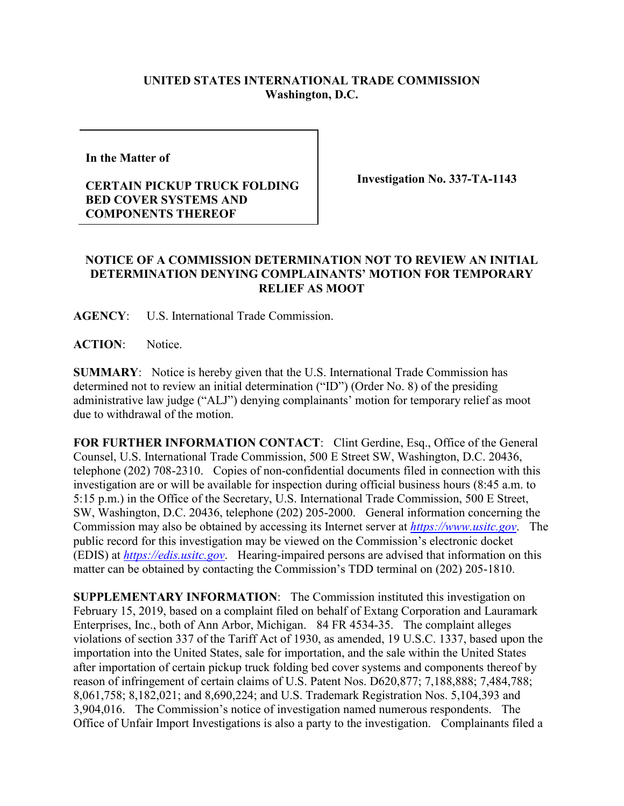## **UNITED STATES INTERNATIONAL TRADE COMMISSION Washington, D.C.**

**In the Matter of** 

## **CERTAIN PICKUP TRUCK FOLDING BED COVER SYSTEMS AND COMPONENTS THEREOF**

**Investigation No. 337-TA-1143**

## **NOTICE OF A COMMISSION DETERMINATION NOT TO REVIEW AN INITIAL DETERMINATION DENYING COMPLAINANTS' MOTION FOR TEMPORARY RELIEF AS MOOT**

**AGENCY**: U.S. International Trade Commission.

**ACTION**: Notice.

**SUMMARY**: Notice is hereby given that the U.S. International Trade Commission has determined not to review an initial determination ("ID") (Order No. 8) of the presiding administrative law judge ("ALJ") denying complainants' motion for temporary relief as moot due to withdrawal of the motion.

FOR FURTHER INFORMATION CONTACT: Clint Gerdine, Esq., Office of the General Counsel, U.S. International Trade Commission, 500 E Street SW, Washington, D.C. 20436, telephone (202) 708-2310. Copies of non-confidential documents filed in connection with this investigation are or will be available for inspection during official business hours (8:45 a.m. to 5:15 p.m.) in the Office of the Secretary, U.S. International Trade Commission, 500 E Street, SW, Washington, D.C. 20436, telephone (202) 205-2000. General information concerning the Commission may also be obtained by accessing its Internet server at *[https://www.usitc.gov](https://www.usitc.gov/)*. The public record for this investigation may be viewed on the Commission's electronic docket (EDIS) at *[https://edis.usitc.gov](https://edis.usitc.gov/)*. Hearing-impaired persons are advised that information on this matter can be obtained by contacting the Commission's TDD terminal on (202) 205-1810.

**SUPPLEMENTARY INFORMATION**: The Commission instituted this investigation on February 15, 2019, based on a complaint filed on behalf of Extang Corporation and Lauramark Enterprises, Inc., both of Ann Arbor, Michigan. 84 FR 4534-35. The complaint alleges violations of section 337 of the Tariff Act of 1930, as amended, 19 U.S.C. 1337, based upon the importation into the United States, sale for importation, and the sale within the United States after importation of certain pickup truck folding bed cover systems and components thereof by reason of infringement of certain claims of U.S. Patent Nos. D620,877; 7,188,888; 7,484,788; 8,061,758; 8,182,021; and 8,690,224; and U.S. Trademark Registration Nos. 5,104,393 and 3,904,016. The Commission's notice of investigation named numerous respondents. The Office of Unfair Import Investigations is also a party to the investigation. Complainants filed a